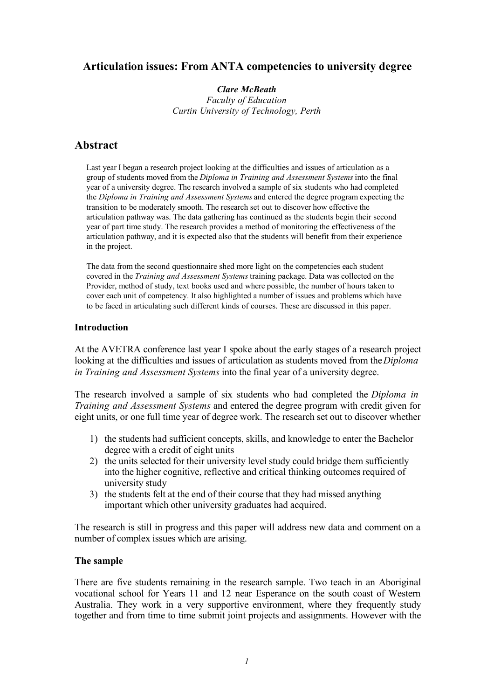# **Articulation issues: From ANTA competencies to university degree**

*Clare McBeath Faculty of Education Curtin University of Technology, Perth*

# **Abstract**

Last year I began a research project looking at the difficulties and issues of articulation as a group of students moved from the *Diploma in Training and Assessment Systems* into the final year of a university degree. The research involved a sample of six students who had completed the *Diploma in Training and Assessment Systems* and entered the degree program expecting the transition to be moderately smooth. The research set out to discover how effective the articulation pathway was. The data gathering has continued as the students begin their second year of part time study. The research provides a method of monitoring the effectiveness of the articulation pathway, and it is expected also that the students will benefit from their experience in the project.

The data from the second questionnaire shed more light on the competencies each student covered in the *Training and Assessment Systems* training package. Data was collected on the Provider, method of study, text books used and where possible, the number of hours taken to cover each unit of competency. It also highlighted a number of issues and problems which have to be faced in articulating such different kinds of courses. These are discussed in this paper.

### **Introduction**

At the AVETRA conference last year I spoke about the early stages of a research project looking at the difficulties and issues of articulation as students moved from the *Diploma in Training and Assessment Systems* into the final year of a university degree.

The research involved a sample of six students who had completed the *Diploma in Training and Assessment Systems* and entered the degree program with credit given for eight units, or one full time year of degree work. The research set out to discover whether

- 1) the students had sufficient concepts, skills, and knowledge to enter the Bachelor degree with a credit of eight units
- 2) the units selected for their university level study could bridge them sufficiently into the higher cognitive, reflective and critical thinking outcomes required of university study
- 3) the students felt at the end of their course that they had missed anything important which other university graduates had acquired.

The research is still in progress and this paper will address new data and comment on a number of complex issues which are arising.

## **The sample**

There are five students remaining in the research sample. Two teach in an Aboriginal vocational school for Years 11 and 12 near Esperance on the south coast of Western Australia. They work in a very supportive environment, where they frequently study together and from time to time submit joint projects and assignments. However with the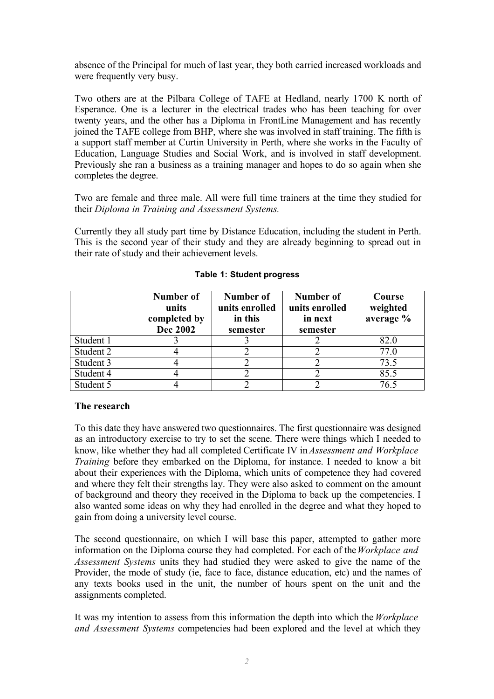absence of the Principal for much of last year, they both carried increased workloads and were frequently very busy.

Two others are at the Pilbara College of TAFE at Hedland, nearly 1700 K north of Esperance. One is a lecturer in the electrical trades who has been teaching for over twenty years, and the other has a Diploma in FrontLine Management and has recently joined the TAFE college from BHP, where she was involved in staff training. The fifth is a support staff member at Curtin University in Perth, where she works in the Faculty of Education, Language Studies and Social Work, and is involved in staff development. Previously she ran a business as a training manager and hopes to do so again when she completes the degree.

Two are female and three male. All were full time trainers at the time they studied for their *Diploma in Training and Assessment Systems.*

Currently they all study part time by Distance Education, including the student in Perth. This is the second year of their study and they are already beginning to spread out in their rate of study and their achievement levels.

|           | Number of<br>units<br>completed by<br><b>Dec 2002</b> | Number of<br>units enrolled<br>in this<br>semester | Number of<br>units enrolled<br>in next<br>semester | Course<br>weighted<br>average % |
|-----------|-------------------------------------------------------|----------------------------------------------------|----------------------------------------------------|---------------------------------|
| Student 1 |                                                       |                                                    |                                                    | 82.0                            |
| Student 2 |                                                       |                                                    |                                                    | 77.0                            |
| Student 3 |                                                       |                                                    |                                                    | 73.5                            |
| Student 4 |                                                       |                                                    |                                                    | 85.5                            |
| Student 5 |                                                       |                                                    |                                                    | 76.5                            |

### **Table 1: Student progress**

### **The research**

To this date they have answered two questionnaires. The first questionnaire was designed as an introductory exercise to try to set the scene. There were things which I needed to know, like whether they had all completed Certificate IV in *Assessment and Workplace Training* before they embarked on the Diploma, for instance. I needed to know a bit about their experiences with the Diploma, which units of competence they had covered and where they felt their strengths lay. They were also asked to comment on the amount of background and theory they received in the Diploma to back up the competencies. I also wanted some ideas on why they had enrolled in the degree and what they hoped to gain from doing a university level course.

The second questionnaire, on which I will base this paper, attempted to gather more information on the Diploma course they had completed. For each of the*Workplace and Assessment Systems* units they had studied they were asked to give the name of the Provider, the mode of study (ie, face to face, distance education, etc) and the names of any texts books used in the unit, the number of hours spent on the unit and the assignments completed.

It was my intention to assess from this information the depth into which the *Workplace and Assessment Systems* competencies had been explored and the level at which they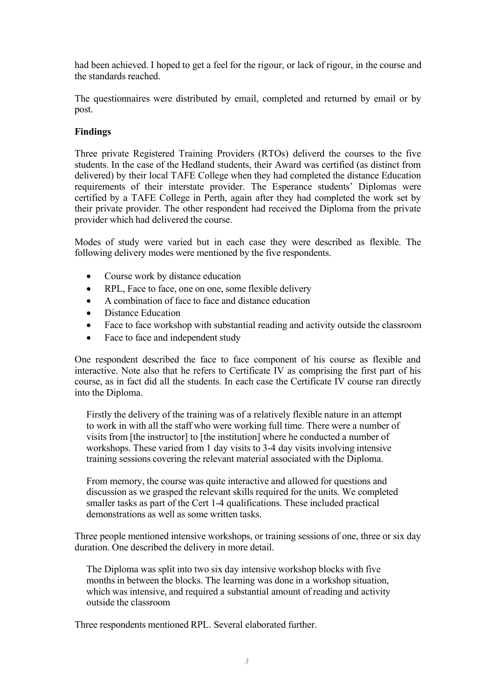had been achieved. I hoped to get a feel for the rigour, or lack of rigour, in the course and the standards reached.

The questionnaires were distributed by email, completed and returned by email or by post.

## **Findings**

Three private Registered Training Providers (RTOs) deliverd the courses to the five students. In the case of the Hedland students, their Award was certified (as distinct from delivered) by their local TAFE College when they had completed the distance Education requirements of their interstate provider. The Esperance students' Diplomas were certified by a TAFE College in Perth, again after they had completed the work set by their private provider. The other respondent had received the Diploma from the private provider which had delivered the course.

Modes of study were varied but in each case they were described as flexible. The following delivery modes were mentioned by the five respondents.

- Course work by distance education
- RPL, Face to face, one on one, some flexible delivery
- A combination of face to face and distance education
- Distance Education
- Face to face workshop with substantial reading and activity outside the classroom
- Face to face and independent study

One respondent described the face to face component of his course as flexible and interactive. Note also that he refers to Certificate IV as comprising the first part of his course, as in fact did all the students. In each case the Certificate IV course ran directly into the Diploma.

Firstly the delivery of the training was of a relatively flexible nature in an attempt to work in with all the staff who were working full time. There were a number of visits from [the instructor] to [the institution] where he conducted a number of workshops. These varied from 1 day visits to 3-4 day visits involving intensive training sessions covering the relevant material associated with the Diploma.

From memory, the course was quite interactive and allowed for questions and discussion as we grasped the relevant skills required for the units. We completed smaller tasks as part of the Cert 1-4 qualifications. These included practical demonstrations as well as some written tasks.

Three people mentioned intensive workshops, or training sessions of one, three or six day duration. One described the delivery in more detail.

The Diploma was split into two six day intensive workshop blocks with five months in between the blocks. The learning was done in a workshop situation, which was intensive, and required a substantial amount of reading and activity outside the classroom

Three respondents mentioned RPL. Several elaborated further.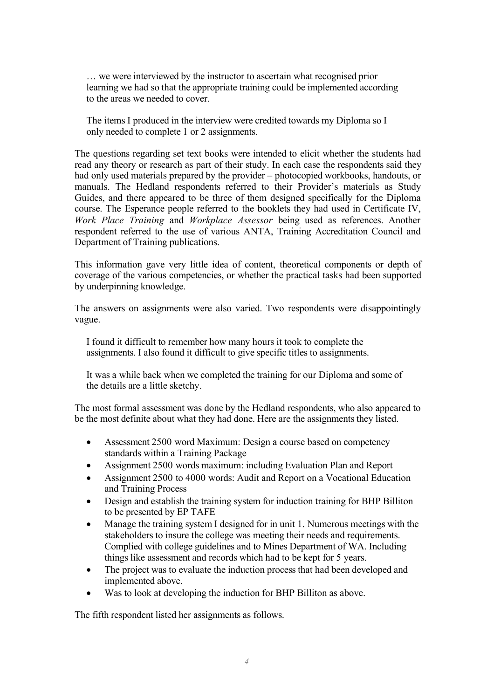… we were interviewed by the instructor to ascertain what recognised prior learning we had so that the appropriate training could be implemented according to the areas we needed to cover.

The items I produced in the interview were credited towards my Diploma so I only needed to complete 1 or 2 assignments.

The questions regarding set text books were intended to elicit whether the students had read any theory or research as part of their study. In each case the respondents said they had only used materials prepared by the provider – photocopied workbooks, handouts, or manuals. The Hedland respondents referred to their Provider's materials as Study Guides, and there appeared to be three of them designed specifically for the Diploma course. The Esperance people referred to the booklets they had used in Certificate IV, *Work Place Training* and *Workplace Assessor* being used as references. Another respondent referred to the use of various ANTA, Training Accreditation Council and Department of Training publications.

This information gave very little idea of content, theoretical components or depth of coverage of the various competencies, or whether the practical tasks had been supported by underpinning knowledge.

The answers on assignments were also varied. Two respondents were disappointingly vague.

I found it difficult to remember how many hours it took to complete the assignments. I also found it difficult to give specific titles to assignments.

It was a while back when we completed the training for our Diploma and some of the details are a little sketchy.

The most formal assessment was done by the Hedland respondents, who also appeared to be the most definite about what they had done. Here are the assignments they listed.

- Assessment 2500 word Maximum: Design a course based on competency standards within a Training Package
- Assignment 2500 words maximum: including Evaluation Plan and Report
- Assignment 2500 to 4000 words: Audit and Report on a Vocational Education and Training Process
- Design and establish the training system for induction training for BHP Billiton to be presented by EP TAFE
- Manage the training system I designed for in unit 1. Numerous meetings with the stakeholders to insure the college was meeting their needs and requirements. Complied with college guidelines and to Mines Department of WA. Including things like assessment and records which had to be kept for 5 years.
- The project was to evaluate the induction process that had been developed and implemented above.
- Was to look at developing the induction for BHP Billiton as above.

The fifth respondent listed her assignments as follows.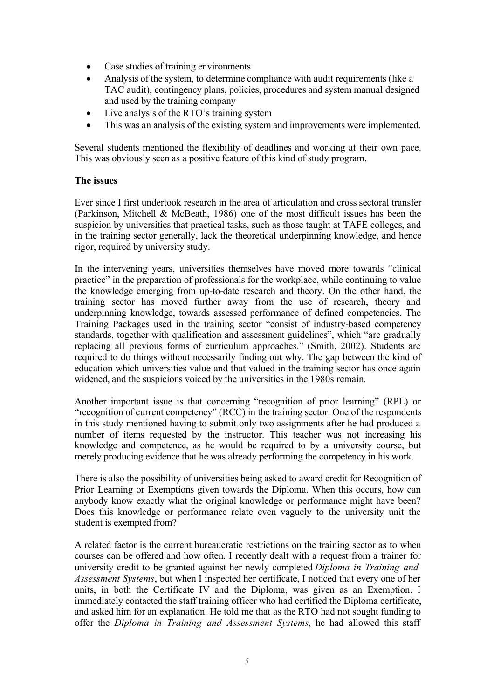- Case studies of training environments
- Analysis of the system, to determine compliance with audit requirements (like a TAC audit), contingency plans, policies, procedures and system manual designed and used by the training company
- Live analysis of the RTO's training system
- This was an analysis of the existing system and improvements were implemented.

Several students mentioned the flexibility of deadlines and working at their own pace. This was obviously seen as a positive feature of this kind of study program.

### **The issues**

Ever since I first undertook research in the area of articulation and cross sectoral transfer (Parkinson, Mitchell & McBeath, 1986) one of the most difficult issues has been the suspicion by universities that practical tasks, such as those taught at TAFE colleges, and in the training sector generally, lack the theoretical underpinning knowledge, and hence rigor, required by university study.

In the intervening years, universities themselves have moved more towards "clinical practice" in the preparation of professionals for the workplace, while continuing to value the knowledge emerging from up-to-date research and theory. On the other hand, the training sector has moved further away from the use of research, theory and underpinning knowledge, towards assessed performance of defined competencies. The Training Packages used in the training sector "consist of industry-based competency standards, together with qualification and assessment guidelines", which "are gradually replacing all previous forms of curriculum approaches." (Smith, 2002). Students are required to do things without necessarily finding out why. The gap between the kind of education which universities value and that valued in the training sector has once again widened, and the suspicions voiced by the universities in the 1980s remain.

Another important issue is that concerning "recognition of prior learning" (RPL) or "recognition of current competency" (RCC) in the training sector. One of the respondents in this study mentioned having to submit only two assignments after he had produced a number of items requested by the instructor. This teacher was not increasing his knowledge and competence, as he would be required to by a university course, but merely producing evidence that he was already performing the competency in his work.

There is also the possibility of universities being asked to award credit for Recognition of Prior Learning or Exemptions given towards the Diploma. When this occurs, how can anybody know exactly what the original knowledge or performance might have been? Does this knowledge or performance relate even vaguely to the university unit the student is exempted from?

A related factor is the current bureaucratic restrictions on the training sector as to when courses can be offered and how often. I recently dealt with a request from a trainer for university credit to be granted against her newly completed *Diploma in Training and Assessment Systems*, but when I inspected her certificate, I noticed that every one of her units, in both the Certificate IV and the Diploma, was given as an Exemption. I immediately contacted the staff training officer who had certified the Diploma certificate, and asked him for an explanation. He told me that as the RTO had not sought funding to offer the *Diploma in Training and Assessment Systems*, he had allowed this staff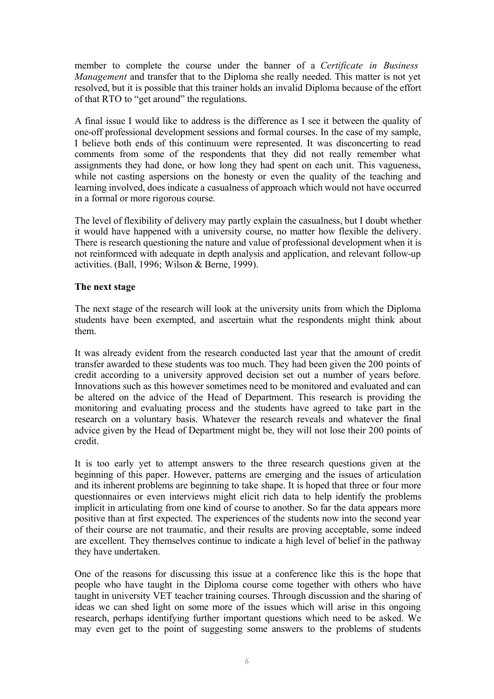member to complete the course under the banner of a *Certificate in Business Management* and transfer that to the Diploma she really needed. This matter is not yet resolved, but it is possible that this trainer holds an invalid Diploma because of the effort of that RTO to "get around" the regulations.

A final issue I would like to address is the difference as I see it between the quality of one-off professional development sessions and formal courses. In the case of my sample, I believe both ends of this continuum were represented. It was disconcerting to read comments from some of the respondents that they did not really remember what assignments they had done, or how long they had spent on each unit. This vagueness, while not casting aspersions on the honesty or even the quality of the teaching and learning involved, does indicate a casualness of approach which would not have occurred in a formal or more rigorous course.

The level of flexibility of delivery may partly explain the casualness, but I doubt whether it would have happened with a university course, no matter how flexible the delivery. There is research questioning the nature and value of professional development when it is not reinformced with adequate in depth analysis and application, and relevant follow-up activities. (Ball, 1996; Wilson & Berne, 1999).

### **The next stage**

The next stage of the research will look at the university units from which the Diploma students have been exempted, and ascertain what the respondents might think about them.

It was already evident from the research conducted last year that the amount of credit transfer awarded to these students was too much. They had been given the 200 points of credit according to a university approved decision set out a number of years before. Innovations such as this however sometimes need to be monitored and evaluated and can be altered on the advice of the Head of Department. This research is providing the monitoring and evaluating process and the students have agreed to take part in the research on a voluntary basis. Whatever the research reveals and whatever the final advice given by the Head of Department might be, they will not lose their 200 points of credit.

It is too early yet to attempt answers to the three research questions given at the beginning of this paper. However, patterns are emerging and the issues of articulation and its inherent problems are beginning to take shape. It is hoped that three or four more questionnaires or even interviews might elicit rich data to help identify the problems implicit in articulating from one kind of course to another. So far the data appears more positive than at first expected. The experiences of the students now into the second year of their course are not traumatic, and their results are proving acceptable, some indeed are excellent. They themselves continue to indicate a high level of belief in the pathway they have undertaken.

One of the reasons for discussing this issue at a conference like this is the hope that people who have taught in the Diploma course come together with others who have taught in university VET teacher training courses. Through discussion and the sharing of ideas we can shed light on some more of the issues which will arise in this ongoing research, perhaps identifying further important questions which need to be asked. We may even get to the point of suggesting some answers to the problems of students